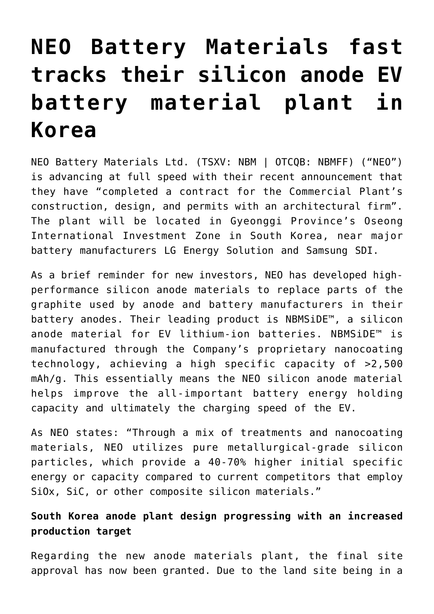# **[NEO Battery Materials fast](https://investorintel.com/markets/cleantech/cleantech-intel/neo-battery-materials-fast-tracks-their-silicon-anode-plant-in-korea/) [tracks their silicon anode EV](https://investorintel.com/markets/cleantech/cleantech-intel/neo-battery-materials-fast-tracks-their-silicon-anode-plant-in-korea/) [battery material plant in](https://investorintel.com/markets/cleantech/cleantech-intel/neo-battery-materials-fast-tracks-their-silicon-anode-plant-in-korea/) [Korea](https://investorintel.com/markets/cleantech/cleantech-intel/neo-battery-materials-fast-tracks-their-silicon-anode-plant-in-korea/)**

[NEO Battery Materials Ltd.](https://www.neobatterymaterials.com/) (TSXV: NBM | OTCQB: NBMFF) ("NEO") is advancing at full speed with their recent [announcement](https://investorintel.com/markets/cleantech/cleantech-news/neo-battery-materials-announces-silicon-anode-commercial-plant-construction-design-and-permit-contract-completion-and-secures-engineering-design-contract/) that they have "completed a contract for the Commercial Plant's construction, design, and permits with an architectural firm". The plant will be located in Gyeonggi Province's Oseong International Investment Zone in South Korea, near major battery manufacturers LG Energy Solution and Samsung SDI.

As a brief reminder for new investors, NEO has developed highperformance silicon anode materials to replace parts of the graphite used by anode and battery manufacturers in their battery anodes. Their leading product is NBMSiDE™, a silicon anode material for EV lithium-ion batteries. NBMSiDE™ is manufactured through the Company's proprietary nanocoating technology, achieving a high specific capacity of >2,500 mAh/g. This essentially means the NEO silicon anode material helps improve the all-important battery energy holding capacity and ultimately the charging speed of the EV.

As NEO [states](https://investorintel.com/markets/technology-metals/technology-metals-news/neo-battery-materials-provides-corporate-update-on-interbattery-2022-full-cell-testing-with-high-energy-capacity-si-anodes-and-rd-scale-up-centre-operations/): "Through a mix of treatments and nanocoating materials, NEO utilizes pure metallurgical-grade silicon particles, which provide a 40-70% higher initial specific energy or capacity compared to current competitors that employ SiOx, SiC, or other composite silicon materials."

### **South Korea anode plant design progressing with an increased production target**

Regarding the new anode materials plant, [the final site](https://investorintel.com/markets/cleantech/cleantech-news/neo-battery-materials-receives-final-site-approval-for-land-use-of-106700-square-feet-for-nbmside-commercial-plant-facility-by-gyeonggi-do-the-largest-economic-province-in-south-korea/) [approval has now been granted](https://investorintel.com/markets/cleantech/cleantech-news/neo-battery-materials-receives-final-site-approval-for-land-use-of-106700-square-feet-for-nbmside-commercial-plant-facility-by-gyeonggi-do-the-largest-economic-province-in-south-korea/). Due to the land site being in a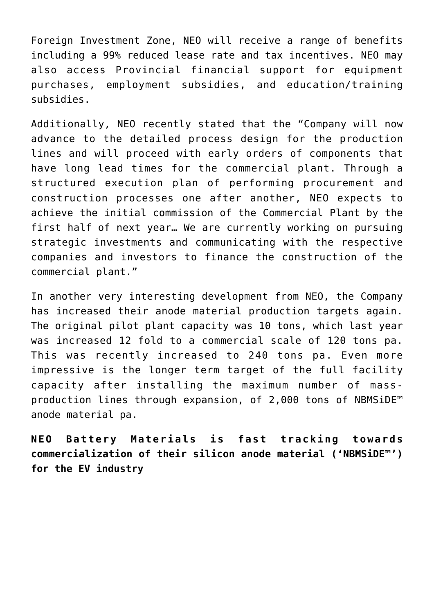Foreign Investment Zone, NEO will receive a range of benefits including a [99% reduced lease rate](https://investorintel.com/markets/cleantech/cleantech-news/neo-battery-materials-receives-final-site-approval-for-land-use-of-106700-square-feet-for-nbmside-commercial-plant-facility-by-gyeonggi-do-the-largest-economic-province-in-south-korea/) and tax incentives. NEO may also access Provincial financial support for equipment purchases, employment subsidies, and education/training subsidies.

Additionally, NEO recently [stated](https://investorintel.com/markets/cleantech/cleantech-news/neo-battery-materials-announces-silicon-anode-commercial-plant-construction-design-and-permit-contract-completion-and-secures-engineering-design-contract/) that the "Company will now advance to the detailed process design for the production lines and will proceed with early orders of components that have long lead times for the commercial plant. Through a structured execution plan of performing procurement and construction processes one after another, NEO expects to achieve the initial commission of the Commercial Plant by the first half of next year… We are currently working on pursuing strategic investments and communicating with the respective companies and investors to finance the construction of the commercial plant."

In another very interesting development from NEO, the Company [has increased their anode material production targets again.](https://investorintel.com/markets/cleantech/cleantech-news/monthly-corporate-update-neo-battery-materials-doubles-target-annual-production-to-240-tons-for-silicon-anode-commercial-plant/) The original pilot plant capacity was 10 tons, which last year was increased 12 fold to a commercial scale of 120 tons pa. This was recently increased to 240 tons pa. Even more impressive is the longer term target of the full facility capacity after installing the maximum number of massproduction lines through expansion, of 2,000 tons of NBMSiDE™ anode material pa.

**NEO Battery Materials is fast tracking towards commercialization of their silicon anode material ('NBMSiDE™') for the EV industry**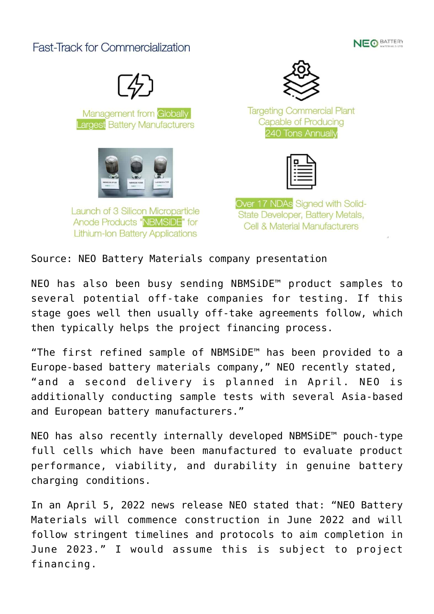## **Fast-Track for Commercialization**





Management from Globally **Largest Battery Manufacturers** 



Launch of 3 Silicon Microparticle Anode Products "NBMSiDE" for **Lithium-Ion Battery Applications** 



**Targeting Commercial Plant** Capable of Producing 240 Tons Annually



Over 17 NDAs Signed with Solid-State Developer, Battery Metals, Cell & Material Manufacturers

Source: [NEO Battery Materials company presentation](https://neobatterymaterials.com/wp-content/uploads/2022/02/NBM-Corporate-Presentation-Feb-2022-v2.pdf)

NEO has also been [busy sending NBMSiDE™ product samples](https://investorintel.com/markets/cleantech/cleantech-news/monthly-corporate-update-neo-battery-materials-doubles-target-annual-production-to-240-tons-for-silicon-anode-commercial-plant/) to several potential off-take companies for testing. If this stage goes well then usually off-take agreements follow, which then typically helps the project financing process.

"The first refined sample of NBMSiDE™ has been provided to a Europe-based battery materials company," NEO recently [stated,](https://investorintel.com/markets/technology-metals/technology-metals-news/neo-battery-materials-provides-corporate-update-on-interbattery-2022-full-cell-testing-with-high-energy-capacity-si-anodes-and-rd-scale-up-centre-operations/)  "and a second delivery is planned in April. NEO is additionally conducting sample tests with several Asia-based and European battery manufacturers."

NEO has also recently internally developed [NBMSiDE™ pouch-type](https://investorintel.com/markets/cleantech/cleantech-news/neo-battery-materials-manufactures-pouch-type-full-cell-for-product-evaluation-and-convenes-nbmsidetm-commercial-plant-kick-off-meeting/) [full cells](https://investorintel.com/markets/cleantech/cleantech-news/neo-battery-materials-manufactures-pouch-type-full-cell-for-product-evaluation-and-convenes-nbmsidetm-commercial-plant-kick-off-meeting/) which have been manufactured to evaluate product performance, viability, and durability in genuine battery charging conditions.

In an [April 5, 2022 news release](https://investorintel.com/markets/cleantech/cleantech-news/neo-battery-materials-manufactures-pouch-type-full-cell-for-product-evaluation-and-convenes-nbmsidetm-commercial-plant-kick-off-meeting/) NEO stated that: "NEO Battery Materials will commence construction in June 2022 and will follow stringent timelines and protocols to aim completion in June 2023." I would assume this is subject to project financing.